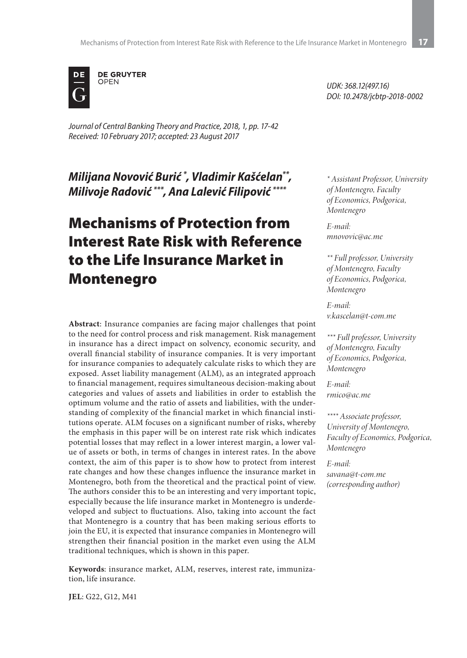

*Journal of Central Banking Theory and Practice, 2018, 1, pp. 17-42 Received: 10 February 2017; accepted: 23 August 2017*

*Milijana Novović Burić \* , Vladimir Kašćelan\*\*, Milivoje Radović \*\*\*, Ana Lalević Filipović \*\*\*\**

# Mechanisms of Protection from Interest Rate Risk with Reference to the Life Insurance Market in Montenegro

**Abstract**: Insurance companies are facing major challenges that point to the need for control process and risk management. Risk management in insurance has a direct impact on solvency, economic security, and overall financial stability of insurance companies. It is very important for insurance companies to adequately calculate risks to which they are exposed. Asset liability management (ALM), as an integrated approach to financial management, requires simultaneous decision-making about categories and values of assets and liabilities in order to establish the optimum volume and the ratio of assets and liabilities, with the understanding of complexity of the financial market in which financial institutions operate. ALM focuses on a significant number of risks, whereby the emphasis in this paper will be on interest rate risk which indicates potential losses that may reflect in a lower interest margin, a lower value of assets or both, in terms of changes in interest rates. In the above context, the aim of this paper is to show how to protect from interest rate changes and how these changes influence the insurance market in Montenegro, both from the theoretical and the practical point of view. The authors consider this to be an interesting and very important topic, especially because the life insurance market in Montenegro is underdeveloped and subject to fluctuations. Also, taking into account the fact that Montenegro is a country that has been making serious efforts to join the EU, it is expected that insurance companies in Montenegro will strengthen their financial position in the market even using the ALM traditional techniques, which is shown in this paper.

**Keywords**: insurance market, ALM, reserves, interest rate, immunization, life insurance.

*UDK: 368.12(497.16) DOI: 10.2478/jcbtp-2018-0002*

*\* Assistant Professor, University of Montenegro, Faculty of Economics, Podgorica, Montenegro*

*E-mail: mnovovic@ac.me*

*\*\* Full professor, University of Montenegro, Faculty of Economics, Podgorica, Montenegro*

*E-mail: v.kascelan@t-com.me*

*\*\*\* Full professor, University of Montenegro, Faculty of Economics, Podgorica, Montenegro*

*E-mail: rmico@ac.me*

*\*\*\*\* Associate professor, University of Montenegro, Faculty of Economics, Podgorica, Montenegro*

*E-mail: savana@t-com.me (corresponding author)*

**JEL**: G22, G12, M41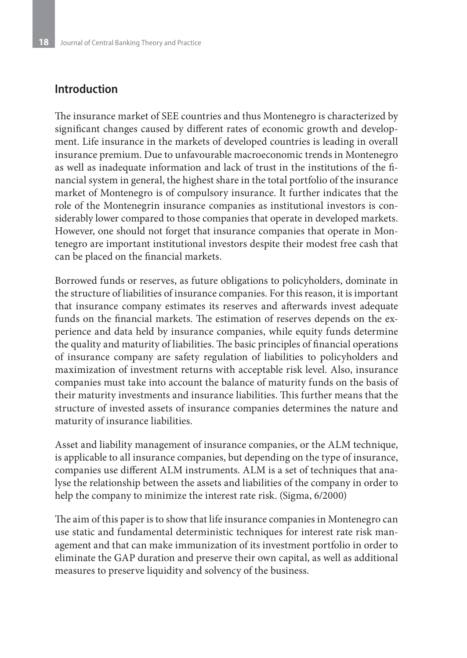### **Introduction**

The insurance market of SEE countries and thus Montenegro is characterized by significant changes caused by different rates of economic growth and development. Life insurance in the markets of developed countries is leading in overall insurance premium. Due to unfavourable macroeconomic trends in Montenegro as well as inadequate information and lack of trust in the institutions of the financial system in general, the highest share in the total portfolio of the insurance market of Montenegro is of compulsory insurance. It further indicates that the role of the Montenegrin insurance companies as institutional investors is considerably lower compared to those companies that operate in developed markets. However, one should not forget that insurance companies that operate in Montenegro are important institutional investors despite their modest free cash that can be placed on the financial markets.

Borrowed funds or reserves, as future obligations to policyholders, dominate in the structure of liabilities of insurance companies. For this reason, it is important that insurance company estimates its reserves and afterwards invest adequate funds on the financial markets. The estimation of reserves depends on the experience and data held by insurance companies, while equity funds determine the quality and maturity of liabilities. The basic principles of financial operations of insurance company are safety regulation of liabilities to policyholders and maximization of investment returns with acceptable risk level. Also, insurance companies must take into account the balance of maturity funds on the basis of their maturity investments and insurance liabilities. This further means that the structure of invested assets of insurance companies determines the nature and maturity of insurance liabilities.

Asset and liability management of insurance companies, or the ALM technique, is applicable to all insurance companies, but depending on the type of insurance, companies use different ALM instruments. ALM is a set of techniques that analyse the relationship between the assets and liabilities of the company in order to help the company to minimize the interest rate risk. (Sigma, 6/2000)

The aim of this paper is to show that life insurance companies in Montenegro can use static and fundamental deterministic techniques for interest rate risk management and that can make immunization of its investment portfolio in order to eliminate the GAP duration and preserve their own capital, as well as additional measures to preserve liquidity and solvency of the business.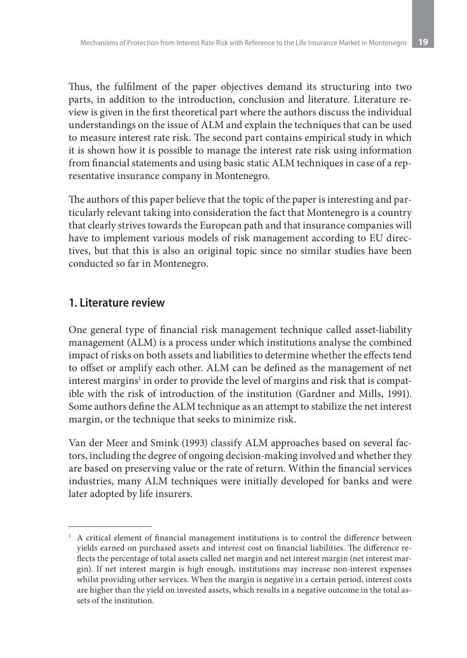Thus, the fulfilment of the paper objectives demand its structuring into two parts, in addition to the introduction, conclusion and literature. Literature review is given in the first theoretical part where the authors discuss the individual understandings on the issue of ALM and explain the techniques that can be used to measure interest rate risk. The second part contains empirical study in which it is shown how it is possible to manage the interest rate risk using information from financial statements and using basic static ALM techniques in case of a representative insurance company in Montenegro.

The authors of this paper believe that the topic of the paper is interesting and particularly relevant taking into consideration the fact that Montenegro is a country that clearly strives towards the European path and that insurance companies will have to implement various models of risk management according to EU directives, but that this is also an original topic since no similar studies have been conducted so far in Montenegro.

### **1. Literature review**

One general type of financial risk management technique called asset-liability management (ALM) is a process under which institutions analyse the combined impact of risks on both assets and liabilities to determine whether the effects tend to offset or amplify each other. ALM can be defined as the management of net interest margins $^{\rm l}$  in order to provide the level of margins and risk that is compatible with the risk of introduction of the institution (Gardner and Mills, 1991). Some authors define the ALM technique as an attempt to stabilize the net interest margin, or the technique that seeks to minimize risk.

Van der Meer and Smink (1993) classify ALM approaches based on several factors, including the degree of ongoing decision-making involved and whether they are based on preserving value or the rate of return. Within the financial services industries, many ALM techniques were initially developed for banks and were later adopted by life insurers.

<sup>&</sup>lt;sup>1</sup> A critical element of financial management institutions is to control the difference between yields earned on purchased assets and interest cost on financial liabilities. The difference reflects the percentage of total assets called net margin and net interest margin (net interest margin). If net interest margin is high enough, institutions may increase non-interest expenses whilst providing other services. When the margin is negative in a certain period, interest costs are higher than the yield on invested assets, which results in a negative outcome in the total assets of the institution.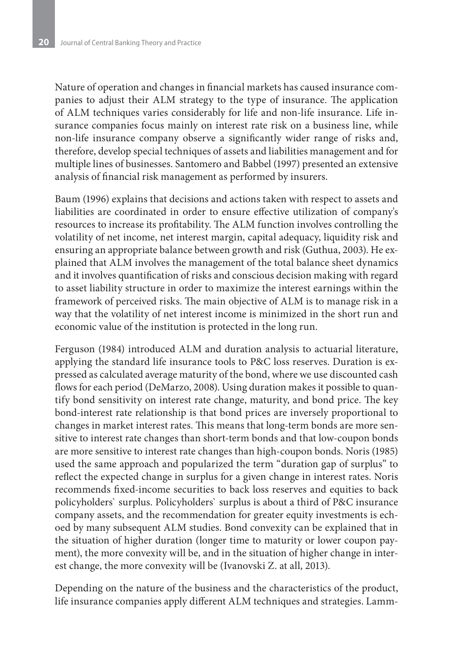Nature of operation and changes in financial markets has caused insurance companies to adjust their ALM strategy to the type of insurance. The application of ALM techniques varies considerably for life and non-life insurance. Life insurance companies focus mainly on interest rate risk on a business line, while non-life insurance company observe a significantly wider range of risks and, therefore, develop special techniques of assets and liabilities management and for multiple lines of businesses. Santomero and Babbel (1997) presented an extensive analysis of financial risk management as performed by insurers.

Baum (1996) explains that decisions and actions taken with respect to assets and liabilities are coordinated in order to ensure effective utilization of company's resources to increase its profitability. The ALM function involves controlling the volatility of net income, net interest margin, capital adequacy, liquidity risk and ensuring an appropriate balance between growth and risk (Guthua, 2003). He explained that ALM involves the management of the total balance sheet dynamics and it involves quantification of risks and conscious decision making with regard to asset liability structure in order to maximize the interest earnings within the framework of perceived risks. The main objective of ALM is to manage risk in a way that the volatility of net interest income is minimized in the short run and economic value of the institution is protected in the long run.

Ferguson (1984) introduced ALM and duration analysis to actuarial literature, applying the standard life insurance tools to P&C loss reserves. Duration is expressed as calculated average maturity of the bond, where we use discounted cash flows for each period (DeMarzo, 2008). Using duration makes it possible to quantify bond sensitivity on interest rate change, maturity, and bond price. The key bond-interest rate relationship is that bond prices are inversely proportional to changes in market interest rates. This means that long-term bonds are more sensitive to interest rate changes than short-term bonds and that low-coupon bonds are more sensitive to interest rate changes than high-coupon bonds. Noris (1985) used the same approach and popularized the term "duration gap of surplus" to reflect the expected change in surplus for a given change in interest rates. Noris recommends fixed-income securities to back loss reserves and equities to back policyholders` surplus. Policyholders` surplus is about a third of P&C insurance company assets, and the recommendation for greater equity investments is echoed by many subsequent ALM studies. Bond convexity can be explained that in the situation of higher duration (longer time to maturity or lower coupon payment), the more convexity will be, and in the situation of higher change in interest change, the more convexity will be (Ivanovski Z. at all, 2013).

Depending on the nature of the business and the characteristics of the product, life insurance companies apply different ALM techniques and strategies. Lamm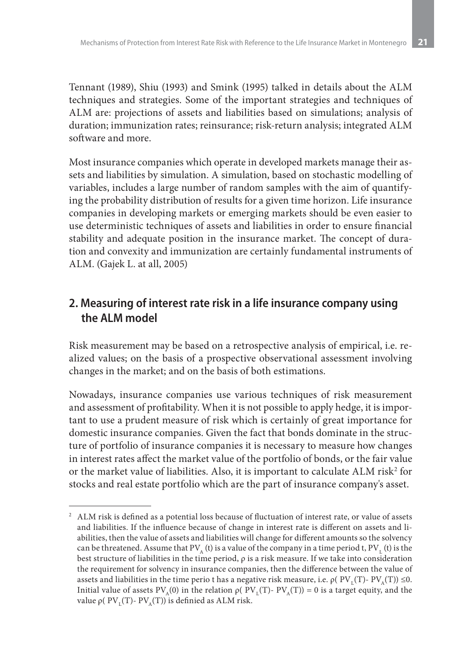Tennant (1989), Shiu (1993) and Smink (1995) talked in details about the ALM techniques and strategies. Some of the important strategies and techniques of ALM are: projections of assets and liabilities based on simulations; analysis of duration; immunization rates; reinsurance; risk-return analysis; integrated ALM software and more.

Most insurance companies which operate in developed markets manage their assets and liabilities by simulation. A simulation, based on stochastic modelling of variables, includes a large number of random samples with the aim of quantifying the probability distribution of results for a given time horizon. Life insurance companies in developing markets or emerging markets should be even easier to use deterministic techniques of assets and liabilities in order to ensure financial stability and adequate position in the insurance market. The concept of duration and convexity and immunization are certainly fundamental instruments of ALM. (Gajek L. at all, 2005)

# **2. Measuring of interest rate risk in a life insurance company using the ALM model**

Risk measurement may be based on a retrospective analysis of empirical, i.e. realized values; on the basis of a prospective observational assessment involving changes in the market; and on the basis of both estimations.

Nowadays, insurance companies use various techniques of risk measurement and assessment of profitability. When it is not possible to apply hedge, it is important to use a prudent measure of risk which is certainly of great importance for domestic insurance companies. Given the fact that bonds dominate in the structure of portfolio of insurance companies it is necessary to measure how changes in interest rates affect the market value of the portfolio of bonds, or the fair value or the market value of liabilities. Also, it is important to calculate ALM risk<sup>2</sup> for stocks and real estate portfolio which are the part of insurance company's asset.

<sup>&</sup>lt;sup>2</sup> ALM risk is defined as a potential loss because of fluctuation of interest rate, or value of assets and liabilities. If the influence because of change in interest rate is different on assets and liabilities, then the value of assets and liabilities will change for different amounts so the solvency can be threatened. Assume that  $\rm PV_{_A}$  (t) is a value of the company in a time period t,  $\rm PV_{_L}$  (t) is the best structure of liabilities in the time period, ρ is a risk measure. If we take into consideration the requirement for solvency in insurance companies, then the difference between the value of assets and liabilities in the time perio t has a negative risk measure, i.e.  $\rho(PV(T) - PV_4(T)) \leq 0$ . Initial value of assets  $PV_{A}(0)$  in the relation  $ρ( PV_{I}(T) - PV_{A}(T) ) = 0$  is a target equity, and the value ρ(  $PV_{I}(T)$ -  $PV_{A}(T)$ ) is definied as ALM risk.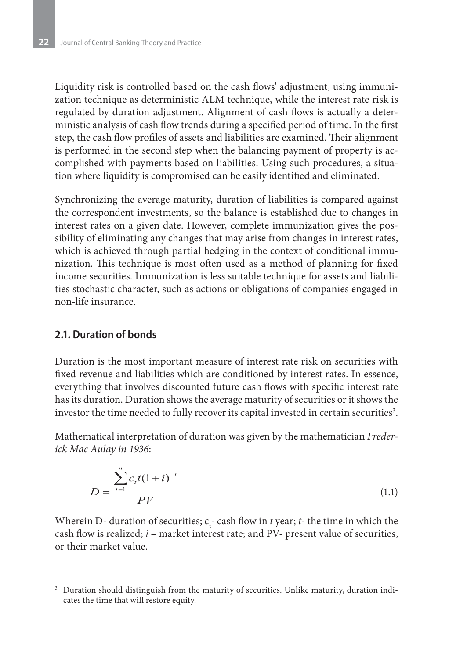Liquidity risk is controlled based on the cash flows' adjustment, using immunization technique as deterministic ALM technique, while the interest rate risk is regulated by duration adjustment. Alignment of cash flows is actually a deterministic analysis of cash flow trends during a specified period of time. In the first step, the cash flow profiles of assets and liabilities are examined. Their alignment is performed in the second step when the balancing payment of property is accomplished with payments based on liabilities. Using such procedures, a situation where liquidity is compromised can be easily identified and eliminated.

Synchronizing the average maturity, duration of liabilities is compared against the correspondent investments, so the balance is established due to changes in interest rates on a given date. However, complete immunization gives the possibility of eliminating any changes that may arise from changes in interest rates, which is achieved through partial hedging in the context of conditional immunization. This technique is most often used as a method of planning for fixed income securities. Immunization is less suitable technique for assets and liabilities stochastic character, such as actions or obligations of companies engaged in non-life insurance.

#### **2.1. Duration of bonds**

Duration is the most important measure of interest rate risk on securities with fixed revenue and liabilities which are conditioned by interest rates. In essence, everything that involves discounted future cash flows with specific interest rate has its duration. Duration shows the average maturity of securities or it shows the investor the time needed to fully recover its capital invested in certain securities $^3.$ 

Mathematical interpretation of duration was given by the mathematician *Frederick Mac Aulay in 1936*:

$$
D = \frac{\sum_{t=1}^{n} c_t t (1+i)^{-t}}{PV}
$$
 (1.1)

Wherein D- duration of securities;  $c_t$ - cash flow in *t* year; *t*- the time in which the cash flow is realized; *i* – market interest rate; and PV- present value of securities, or their market value.

<sup>&</sup>lt;sup>3</sup> Duration should distinguish from the maturity of securities. Unlike maturity, duration indicates the time that will restore equity.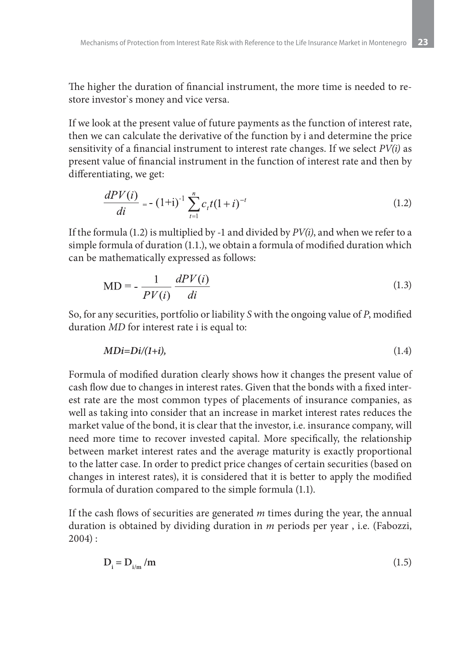The higher the duration of financial instrument, the more time is needed to restore investor`s money and vice versa.

If we look at the present value of future payments as the function of interest rate, then we can calculate the derivative of the function by i and determine the price sensitivity of a financial instrument to interest rate changes. If we select *PV(i)* as present value of financial instrument in the function of interest rate and then by differentiating, we get:

$$
\frac{dPV(i)}{di} = -(1+i)^{-1} \sum_{t=1}^{n} c_t t (1+i)^{-t}
$$
\n(1.2)

If the formula (1.2) is multiplied by -1 and divided by *PV(i)*, and when we refer to a simple formula of duration (1.1.), we obtain a formula of modified duration which can be mathematically expressed as follows:

$$
MD = -\frac{1}{PV(i)} \frac{dPV(i)}{di}
$$
 (1.3)

So, for any securities, portfolio or liability *S* with the ongoing value of *P*, modified duration *MD* for interest rate i is equal to:

$$
MDi=Di/(1+i), \qquad (1.4)
$$

Formula of modified duration clearly shows how it changes the present value of cash flow due to changes in interest rates. Given that the bonds with a fixed interest rate are the most common types of placements of insurance companies, as well as taking into consider that an increase in market interest rates reduces the market value of the bond, it is clear that the investor, i.e. insurance company, will need more time to recover invested capital. More specifically, the relationship between market interest rates and the average maturity is exactly proportional to the latter case. In order to predict price changes of certain securities (based on changes in interest rates), it is considered that it is better to apply the modified formula of duration compared to the simple formula (1.1).

If the cash flows of securities are generated *m* times during the year, the annual duration is obtained by dividing duration in *m* periods per year , i.e. (Fabozzi, 2004) :

$$
D_i = D_{i/m} / m \tag{1.5}
$$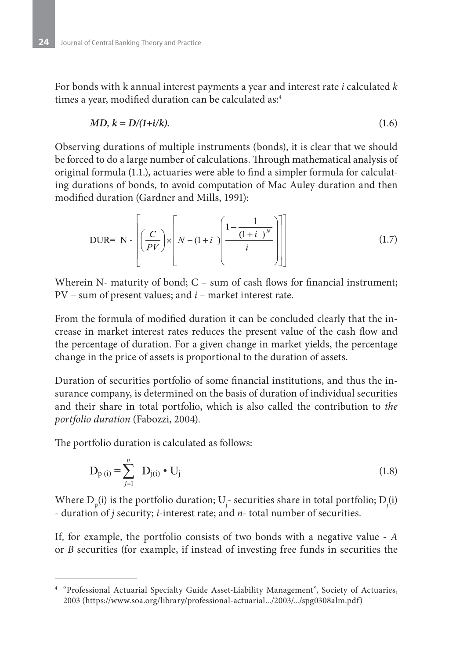For bonds with k annual interest payments a year and interest rate *i* calculated *k* times a year, modified duration can be calculated as:<sup>4</sup>

$$
MD, k = D/(1+i/k). \tag{1.6}
$$

Observing durations of multiple instruments (bonds), it is clear that we should be forced to do a large number of calculations. Through mathematical analysis of original formula (1.1.), actuaries were able to find a simpler formula for calculating durations of bonds, to avoid computation of Mac Auley duration and then modified duration (Gardner and Mills, 1991):

DUR = N - 
$$
\left[ \left( \frac{C}{PV} \right) \times \left[ N - (1+i) \left( \frac{1 - \frac{1}{(1+i)^N}}{i} \right) \right] \right]
$$
 (1.7)

Wherein N- maturity of bond;  $C - sum$  of cash flows for financial instrument; PV – sum of present values; and *i* – market interest rate.

From the formula of modified duration it can be concluded clearly that the increase in market interest rates reduces the present value of the cash flow and the percentage of duration. For a given change in market yields, the percentage change in the price of assets is proportional to the duration of assets.

Duration of securities portfolio of some financial institutions, and thus the insurance company, is determined on the basis of duration of individual securities and their share in total portfolio, which is also called the contribution to *the portfolio duration* (Fabozzi, 2004).

The portfolio duration is calculated as follows:

$$
D_{p(i)} = \sum_{j=1}^{n} D_{j(i)} \cdot U_j
$$
 (1.8)

Where  $D_p(i)$  is the portfolio duration;  $U_j$ - securities share in total portfolio;  $D_j(i)$ - duration of *j* security; *i*-interest rate; and *n*- total number of securities.

If, for example, the portfolio consists of two bonds with a negative value - *A* or *B* securities (for example, if instead of investing free funds in securities the

<sup>4</sup> "Professional Actuarial Specialty Guide Asset-Liability Management", Society of Actuaries, 2003 (https://www.soa.org/library/professional-actuarial.../2003/.../spg0308alm.pdf)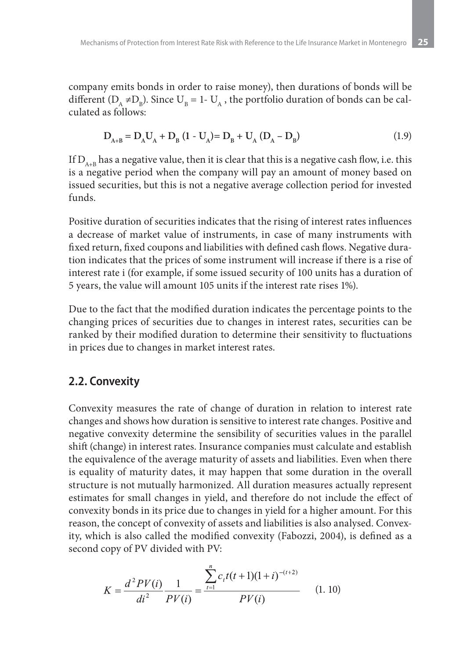company emits bonds in order to raise money), then durations of bonds will be different  $(D_A \neq D_B)$ . Since  $U_B = 1-U_A$ , the portfolio duration of bonds can be calculated as follows:

$$
D_{A+B} = D_A U_A + D_B (1 - U_A) = D_B + U_A (D_A - D_B)
$$
 (1.9)

If  $D_{A+B}$  has a negative value, then it is clear that this is a negative cash flow, i.e. this is a negative period when the company will pay an amount of money based on issued securities, but this is not a negative average collection period for invested funds.

Positive duration of securities indicates that the rising of interest rates influences a decrease of market value of instruments, in case of many instruments with fixed return, fixed coupons and liabilities with defined cash flows. Negative duration indicates that the prices of some instrument will increase if there is a rise of interest rate i (for example, if some issued security of 100 units has a duration of 5 years, the value will amount 105 units if the interest rate rises 1%).

Due to the fact that the modified duration indicates the percentage points to the changing prices of securities due to changes in interest rates, securities can be ranked by their modified duration to determine their sensitivity to fluctuations in prices due to changes in market interest rates.

### **2.2. Convexity**

Convexity measures the rate of change of duration in relation to interest rate changes and shows how duration is sensitive to interest rate changes. Positive and negative convexity determine the sensibility of securities values in the parallel shift (change) in interest rates. Insurance companies must calculate and establish the equivalence of the average maturity of assets and liabilities. Even when there is equality of maturity dates, it may happen that some duration in the overall structure is not mutually harmonized. All duration measures actually represent estimates for small changes in yield, and therefore do not include the effect of convexity bonds in its price due to changes in yield for a higher amount. For this reason, the concept of convexity of assets and liabilities is also analysed. Convexity, which is also called the modified convexity (Fabozzi, 2004), is defined as a second copy of PV divided with PV:

$$
K = \frac{d^2PV(i)}{di^2} \frac{1}{PV(i)} = \frac{\sum_{t=1}^{n} c_t t(t+1)(1+i)^{-(t+2)}}{PV(i)} \tag{1.10}
$$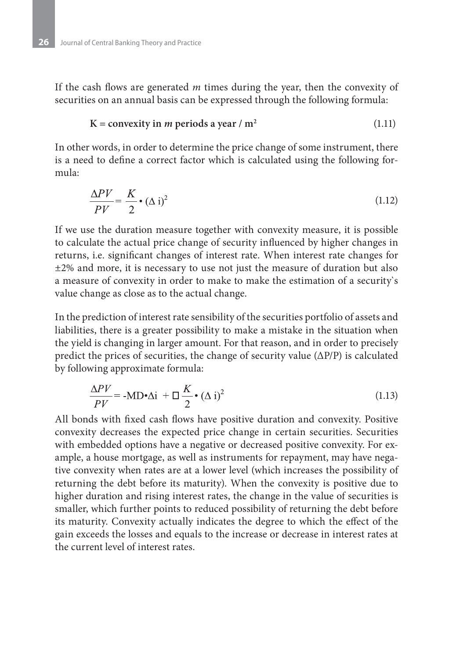If the cash flows are generated *m* times during the year, then the convexity of securities on an annual basis can be expressed through the following formula:

#### $K = \text{convexity in } m \text{ periods a year } / m^2$  (1.11)

In other words, in order to determine the price change of some instrument, there is a need to define a correct factor which is calculated using the following formula:

$$
\frac{\Delta PV}{PV} = \frac{K}{2} \cdot (\Delta i)^2 \tag{1.12}
$$

If we use the duration measure together with convexity measure, it is possible to calculate the actual price change of security influenced by higher changes in returns, i.e. significant changes of interest rate. When interest rate changes for ±2% and more, it is necessary to use not just the measure of duration but also a measure of convexity in order to make to make the estimation of a security`s value change as close as to the actual change.

In the prediction of interest rate sensibility of the securities portfolio of assets and liabilities, there is a greater possibility to make a mistake in the situation when the yield is changing in larger amount. For that reason, and in order to precisely predict the prices of securities, the change of security value  $(\Delta P/P)$  is calculated by following approximate formula:

$$
\frac{\Delta PV}{PV} = -MD \cdot \Delta i + \Box \frac{K}{2} \cdot (\Delta i)^2 \tag{1.13}
$$

All bonds with fixed cash flows have positive duration and convexity. Positive convexity decreases the expected price change in certain securities. Securities with embedded options have a negative or decreased positive convexity. For example, a house mortgage, as well as instruments for repayment, may have negative convexity when rates are at a lower level (which increases the possibility of returning the debt before its maturity). When the convexity is positive due to higher duration and rising interest rates, the change in the value of securities is smaller, which further points to reduced possibility of returning the debt before its maturity. Convexity actually indicates the degree to which the effect of the gain exceeds the losses and equals to the increase or decrease in interest rates at the current level of interest rates.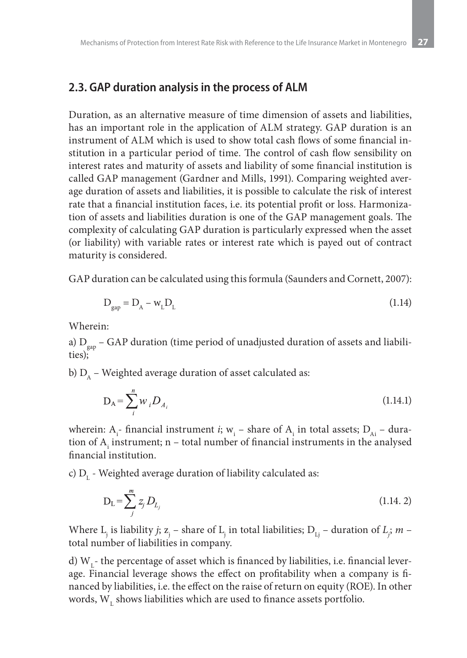### **2.3. GAP duration analysis in the process of ALM**

Duration, as an alternative measure of time dimension of assets and liabilities, has an important role in the application of ALM strategy. GAP duration is an instrument of ALM which is used to show total cash flows of some financial institution in a particular period of time. The control of cash flow sensibility on interest rates and maturity of assets and liability of some financial institution is called GAP management (Gardner and Mills, 1991). Comparing weighted average duration of assets and liabilities, it is possible to calculate the risk of interest rate that a financial institution faces, i.e. its potential profit or loss. Harmonization of assets and liabilities duration is one of the GAP management goals. The complexity of calculating GAP duration is particularly expressed when the asset (or liability) with variable rates or interest rate which is payed out of contract maturity is considered.

GAP duration can be calculated using this formula (Saunders and Cornett, 2007):

$$
D_{\rm gap} = D_{\rm A} - w_{\rm L} D_{\rm L} \tag{1.14}
$$

Wherein:

a)  $D_{\text{gan}}$  – GAP duration (time period of unadjusted duration of assets and liabilities);

b)  $D_{\alpha}$  – Weighted average duration of asset calculated as:

$$
D_A = \sum_{i}^{n} W_i D_{A_i}
$$
 (1.14.1)

wherein: A<sub>i</sub>- financial instrument *i*; w<sub>i</sub> – share of A<sub>i</sub> in total assets; D<sub>Ai</sub> – duration of  $A_i$  instrument; n – total number of financial instruments in the analysed financial institution.

c)  $D_{L}$  - Weighted average duration of liability calculated as:

$$
D_{L} = \sum_{j}^{m} z_{j} D_{L_{j}}
$$
\n(1.14. 2)

Where  $L_j$  is liability *j*;  $z_j$  – share of  $L_j$  in total liabilities;  $D_{L_j}$  – duration of  $L_j$ ;  $m$  – total number of liabilities in company.

d)  $W<sub>r</sub>$ - the percentage of asset which is financed by liabilities, i.e. financial leverage. Financial leverage shows the effect on profitability when a company is financed by liabilities, i.e. the effect on the raise of return on equity (ROE). In other words,  $\mathbf{W}_{\text{L}}$  shows liabilities which are used to finance assets portfolio.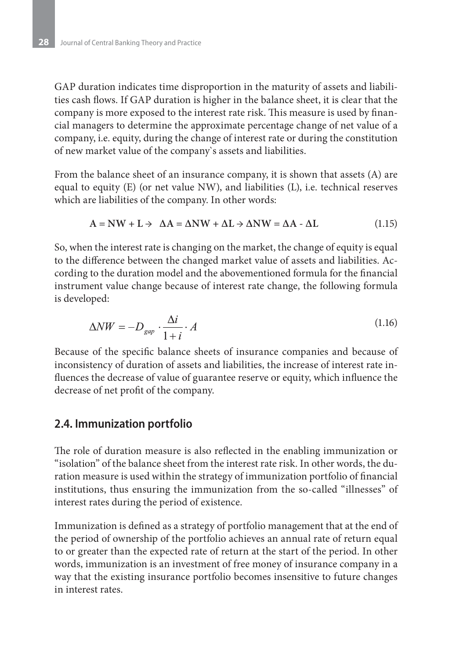GAP duration indicates time disproportion in the maturity of assets and liabilities cash flows. If GAP duration is higher in the balance sheet, it is clear that the company is more exposed to the interest rate risk. This measure is used by financial managers to determine the approximate percentage change of net value of a company, i.e. equity, during the change of interest rate or during the constitution of new market value of the company`s assets and liabilities.

From the balance sheet of an insurance company, it is shown that assets (A) are equal to equity (E) (or net value NW), and liabilities (L), i.e. technical reserves which are liabilities of the company. In other words:

$$
A = NW + L \rightarrow \ \Delta A = \Delta NW + \Delta L \rightarrow \Delta NW = \Delta A - \Delta L \tag{1.15}
$$

So, when the interest rate is changing on the market, the change of equity is equal to the difference between the changed market value of assets and liabilities. According to the duration model and the abovementioned formula for the financial instrument value change because of interest rate change, the following formula is developed:

$$
\Delta NW = -D_{gap} \cdot \frac{\Delta i}{1+i} \cdot A \tag{1.16}
$$

Because of the specific balance sheets of insurance companies and because of inconsistency of duration of assets and liabilities, the increase of interest rate influences the decrease of value of guarantee reserve or equity, which influence the decrease of net profit of the company.

### **2.4. Immunization portfolio**

The role of duration measure is also reflected in the enabling immunization or "isolation" of the balance sheet from the interest rate risk. In other words, the duration measure is used within the strategy of immunization portfolio of financial institutions, thus ensuring the immunization from the so-called "illnesses" of interest rates during the period of existence.

Immunization is defined as a strategy of portfolio management that at the end of the period of ownership of the portfolio achieves an annual rate of return equal to or greater than the expected rate of return at the start of the period. In other words, immunization is an investment of free money of insurance company in a way that the existing insurance portfolio becomes insensitive to future changes in interest rates.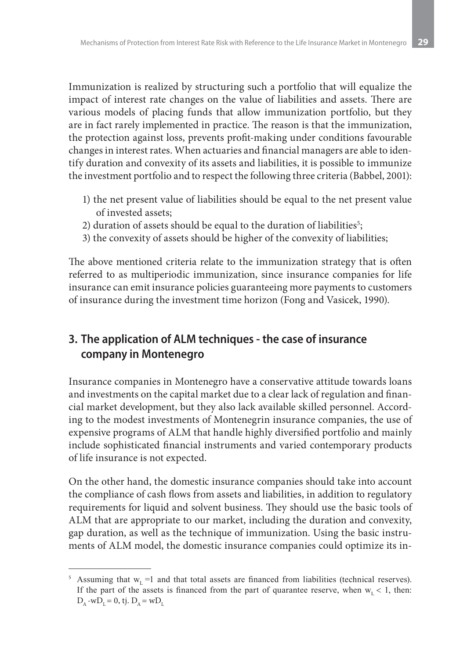Immunization is realized by structuring such a portfolio that will equalize the impact of interest rate changes on the value of liabilities and assets. There are various models of placing funds that allow immunization portfolio, but they are in fact rarely implemented in practice. The reason is that the immunization, the protection against loss, prevents profit-making under conditions favourable changes in interest rates. When actuaries and financial managers are able to identify duration and convexity of its assets and liabilities, it is possible to immunize the investment portfolio and to respect the following three criteria (Babbel, 2001):

- 1) the net present value of liabilities should be equal to the net present value of invested assets;
- 2) duration of assets should be equal to the duration of liabilities $\mathfrak{s};$
- 3) the convexity of assets should be higher of the convexity of liabilities;

The above mentioned criteria relate to the immunization strategy that is often referred to as multiperiodic immunization, since insurance companies for life insurance can emit insurance policies guaranteeing more payments to customers of insurance during the investment time horizon (Fong and Vasicek, 1990).

# **3. The application of ALM techniques - the case of insurance company in Montenegro**

Insurance companies in Montenegro have a conservative attitude towards loans and investments on the capital market due to a clear lack of regulation and financial market development, but they also lack available skilled personnel. According to the modest investments of Montenegrin insurance companies, the use of expensive programs of ALM that handle highly diversified portfolio and mainly include sophisticated financial instruments and varied contemporary products of life insurance is not expected.

On the other hand, the domestic insurance companies should take into account the compliance of cash flows from assets and liabilities, in addition to regulatory requirements for liquid and solvent business. They should use the basic tools of ALM that are appropriate to our market, including the duration and convexity, gap duration, as well as the technique of immunization. Using the basic instruments of ALM model, the domestic insurance companies could optimize its in-

<sup>&</sup>lt;sup>5</sup> Assuming that  $w<sub>1</sub> = 1$  and that total assets are financed from liabilities (technical reserves). If the part of the assets is financed from the part of quarantee reserve, when  $w_L < 1$ , then:  $D_{\scriptscriptstyle{\Lambda}}$  -w $D_{\scriptscriptstyle{\Lambda}} = 0$ , tj.  $D_{\scriptscriptstyle{\Lambda}} = wD_{\scriptscriptstyle{\Lambda}}$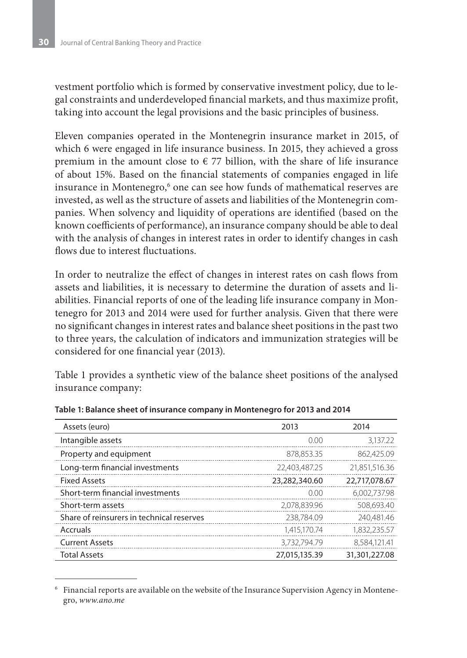vestment portfolio which is formed by conservative investment policy, due to legal constraints and underdeveloped financial markets, and thus maximize profit, taking into account the legal provisions and the basic principles of business.

Eleven companies operated in the Montenegrin insurance market in 2015, of which 6 were engaged in life insurance business. In 2015, they achieved a gross premium in the amount close to  $\epsilon$  77 billion, with the share of life insurance of about 15%. Based on the financial statements of companies engaged in life insurance in Montenegro, $^{\rm 6}$  one can see how funds of mathematical reserves are invested, as well as the structure of assets and liabilities of the Montenegrin companies. When solvency and liquidity of operations are identified (based on the known coefficients of performance), an insurance company should be able to deal with the analysis of changes in interest rates in order to identify changes in cash flows due to interest fluctuations.

In order to neutralize the effect of changes in interest rates on cash flows from assets and liabilities, it is necessary to determine the duration of assets and liabilities. Financial reports of one of the leading life insurance company in Montenegro for 2013 and 2014 were used for further analysis. Given that there were no significant changes in interest rates and balance sheet positions in the past two to three years, the calculation of indicators and immunization strategies will be considered for one financial year (2013).

Table 1 provides a synthetic view of the balance sheet positions of the analysed insurance company:

| Assets (euro)                             | 2013          | 2014          |
|-------------------------------------------|---------------|---------------|
| Intangible assets                         | 0.00          | 3,137.22      |
| Property and equipment                    | 878.853.35    | 862.425.09    |
| Long-term financial investments           | 22,403,487.25 | 21,851,516.36 |
| <b>Fixed Assets</b>                       | 23,282,340.60 | 22,717,078.67 |
| Short-term financial investments          | 0.00          | 6.002.737.98  |
| Short-term assets                         | 2.078.839.96  | 508,693,40    |
| Share of reinsurers in technical reserves | 238.784.09    | 240.481.46    |
| Accruals                                  | 1.415.170.74  | 1,832,235.57  |
| <b>Current Assets</b>                     | 3.732.794.79  | 8,584,121.41  |
| <b>Total Assets</b>                       | 27,015,135.39 | 31,301,227.08 |

**Table 1: Balance sheet of insurance company in Montenegro for 2013 and 2014**

<sup>6</sup> Financial reports are available on the website of the Insurance Supervision Agency in Montenegro, *www.ano.me*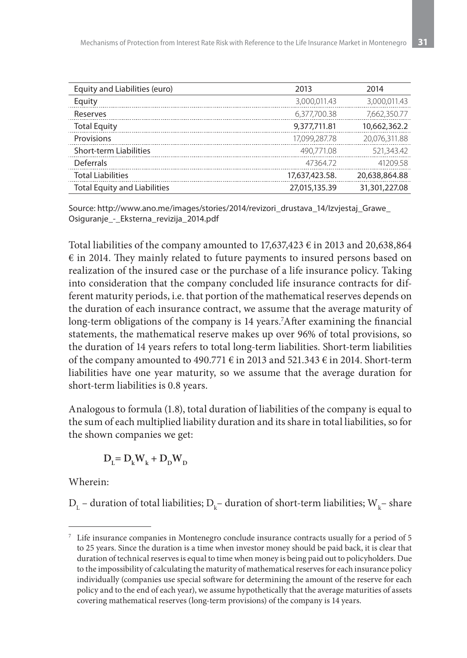| Equity and Liabilities (euro)       | 2013           | 2014          |
|-------------------------------------|----------------|---------------|
| Equity                              | 3,000,011.43   | 3.000.011.43  |
| Reserves                            | 6.377.700.38   | 7.662.350.77  |
| <b>Total Equity</b>                 | 9,377,711.81   | 10,662,362.2  |
| Provisions                          | 17,099,287,78  | 20.076.311.88 |
| <b>Short-term Liabilities</b>       | 490.771.08     | 521,343.42    |
| <b>Deferrals</b>                    | 4736472        | 4120958       |
| <b>Total Liabilities</b>            | 17,637,423.58. | 20,638,864.88 |
| <b>Total Equity and Liabilities</b> | 27,015,135.39  | 31,301,227.08 |

Source: http://www.ano.me/images/stories/2014/revizori\_drustava\_14/Izvjestaj\_Grawe\_ Osiguranje - Eksterna revizija 2014.pdf

Total liabilities of the company amounted to  $17,637,423 \in$  in 2013 and 20,638,864  $\epsilon$  in 2014. They mainly related to future payments to insured persons based on realization of the insured case or the purchase of a life insurance policy. Taking into consideration that the company concluded life insurance contracts for different maturity periods, i.e. that portion of the mathematical reserves depends on the duration of each insurance contract, we assume that the average maturity of long-term obligations of the company is 14 years.7 After examining the financial statements, the mathematical reserve makes up over 96% of total provisions, so the duration of 14 years refers to total long-term liabilities. Short-term liabilities of the company amounted to 490.771  $\epsilon$  in 2013 and 521.343  $\epsilon$  in 2014. Short-term liabilities have one year maturity, so we assume that the average duration for short-term liabilities is 0.8 years.

Analogous to formula (1.8), total duration of liabilities of the company is equal to the sum of each multiplied liability duration and its share in total liabilities, so for the shown companies we get:

$$
\boldsymbol{D}_{\text{L}}\text{=}\ \boldsymbol{D}_{\text{k}}\boldsymbol{W}_{\text{k}}\text{+}\ \boldsymbol{D}_{\text{D}}\boldsymbol{W}_{\text{D}}
$$

Wherein:

 ${\rm D}^{}_{\rm L}$  – duration of total liabilities;  ${\rm D}^{}_{\rm k}$ – duration of short-term liabilities;  ${\rm W}^{}_{\rm k}$ – share

<sup>7</sup> Life insurance companies in Montenegro conclude insurance contracts usually for a period of 5 to 25 years. Since the duration is a time when investor money should be paid back, it is clear that duration of technical reserves is equal to time when money is being paid out to policyholders. Due to the impossibility of calculating the maturity of mathematical reserves for each insurance policy individually (companies use special software for determining the amount of the reserve for each policy and to the end of each year), we assume hypothetically that the average maturities of assets covering mathematical reserves (long-term provisions) of the company is 14 years.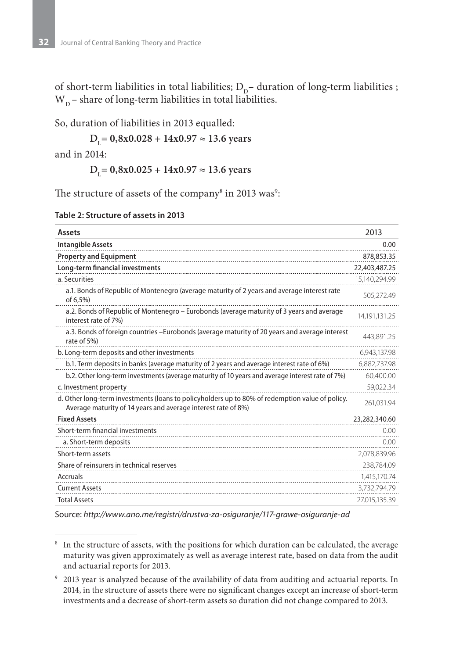of short-term liabilities in total liabilities;  $D_{p}$  duration of long-term liabilities;  $W_p$  – share of long-term liabilities in total liabilities.

So, duration of liabilities in 2013 equalled:

**DL= 0,8x0.028 + 14x0.97 ≈ 13.6 years**

and in 2014:

**DL= 0,8x0.025 + 14x0.97 ≈ 13.6 years**

The structure of assets of the company $^{\rm 8}$  in 2013 was $^{\rm 9}$ :

| Table 2: Structure of assets in 2013 |  |  |  |  |
|--------------------------------------|--|--|--|--|
|--------------------------------------|--|--|--|--|

| <b>Assets</b>                                                                                                                                                    | 2013          |
|------------------------------------------------------------------------------------------------------------------------------------------------------------------|---------------|
| <b>Intangible Assets</b>                                                                                                                                         | 0.00          |
| <b>Property and Equipment</b>                                                                                                                                    | 878,853.35    |
| Long-term financial investments                                                                                                                                  | 22,403,487.25 |
| a. Securities                                                                                                                                                    | 15,140,294.99 |
| a.1. Bonds of Republic of Montenegro (average maturity of 2 years and average interest rate<br>of 6,5%)                                                          | 505,272.49    |
| a.2. Bonds of Republic of Montenegro – Eurobonds (average maturity of 3 years and average<br>interest rate of 7%)                                                | 14,191,131.25 |
| a.3. Bonds of foreign countries -Eurobonds (average maturity of 20 years and average interest<br>rate of 5%)                                                     | 443.891.25    |
| b. Long-term deposits and other investments                                                                                                                      | 6,943,137.98  |
| b.1. Term deposits in banks (average maturity of 2 years and average interest rate of 6%)                                                                        | 6,882,737.98  |
| b.2. Other long-term investments (average maturity of 10 years and average interest rate of 7%)                                                                  | 60,400.00     |
| c. Investment property                                                                                                                                           | 59,022.34     |
| d. Other long-term investments (loans to policyholders up to 80% of redemption value of policy.<br>Average maturity of 14 years and average interest rate of 8%) | 261,031.94    |
| <b>Fixed Assets</b>                                                                                                                                              | 23,282,340.60 |
| Short-term financial investments                                                                                                                                 | 0.00          |
| a. Short-term deposits                                                                                                                                           | 0.00          |
| Short-term assets                                                                                                                                                | 2,078,839.96  |
| Share of reinsurers in technical reserves                                                                                                                        | 238,784.09    |
| Accruals                                                                                                                                                         | 1,415,170.74  |
| <b>Current Assets</b>                                                                                                                                            | 3,732,794.79  |
| <b>Total Assets</b>                                                                                                                                              | 27,015,135.39 |

Source: *http://www.ano.me/registri/drustva-za-osiguranje/117-grawe-osiguranje-ad*

<sup>&</sup>lt;sup>8</sup> In the structure of assets, with the positions for which duration can be calculated, the average maturity was given approximately as well as average interest rate, based on data from the audit and actuarial reports for 2013.

<sup>9</sup> 2013 year is analyzed because of the availability of data from auditing and actuarial reports. In 2014, in the structure of assets there were no significant changes except an increase of short-term investments and a decrease of short-term assets so duration did not change compared to 2013.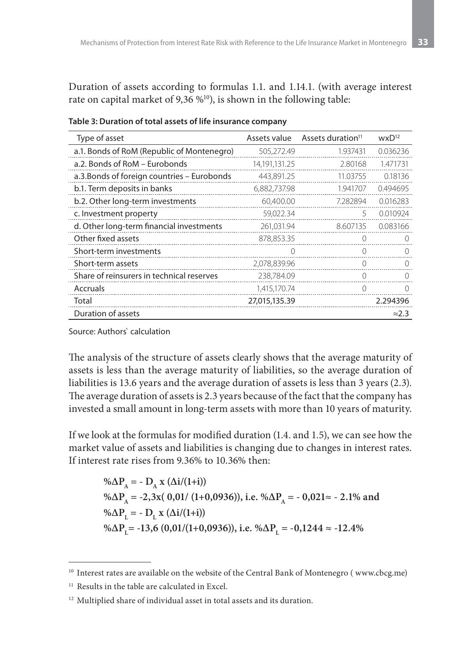Duration of assets according to formulas 1.1. and 1.14.1. (with average interest rate on capital market of 9,36 %<sup>10</sup>), is shown in the following table:

| Type of asset                               | Assets value  | Assets duration <sup>11</sup> | $W \times D^{12}$ |
|---------------------------------------------|---------------|-------------------------------|-------------------|
| a.1. Bonds of RoM (Republic of Montenegro)  | 505,272.49    | 1.937431                      | 0.036236          |
| a.2. Bonds of RoM - Eurobonds               | 14,191,131.25 | 2.80168                       | 1.471731          |
| a.3. Bonds of foreign countries - Eurobonds | 443,891.25    | 11.03755                      | 0.18136           |
| b.1. Term deposits in banks                 | 6,882,737.98  | 1.941707                      | 0.494695          |
| b.2. Other long-term investments            | 60,400.00     | 7.282894                      | 0.016283          |
| c. Investment property                      | 59,022.34     | 5                             | 0.010924          |
| d. Other long-term financial investments    | 261,031.94    | 8.607135                      | 0.083166          |
| Other fixed assets                          | 878,853.35    | 0                             | $\left( \right)$  |
| Short-term investments                      |               | 0                             | $\left( \right)$  |
| Short-term assets                           | 2,078,839.96  |                               |                   |
| Share of reinsurers in technical reserves   | 238,784.09    | 0                             | $\left( \right)$  |
| Accruals                                    | 1,415,170.74  | 0                             |                   |
| Total                                       | 27,015,135.39 |                               | 2.294396          |
| Duration of assets                          |               |                               | $\approx$ 2.3     |

Table 3: Duration of total assets of life insurance company

Source: Authors` calculation

The analysis of the structure of assets clearly shows that the average maturity of assets is less than the average maturity of liabilities, so the average duration of liabilities is 13.6 years and the average duration of assets is less than 3 years (2.3). The average duration of assets is 2.3 years because of the fact that the company has invested a small amount in long-term assets with more than 10 years of maturity.

If we look at the formulas for modified duration (1.4. and 1.5), we can see how the market value of assets and liabilities is changing due to changes in interest rates. If interest rate rises from 9.36% to 10.36% then:

% $\Delta P_A$  = -  $D_A$  x ( $\Delta i/(1+i)$ ) % $\Delta P_A = -2,3x(0,01/(1+0,0936))$ , i.e. % $\Delta P_A = -0,021 \approx -2.1\%$  and % $\Delta P_{\text{L}}$  = -  $D_{\text{L}}$  x ( $\Delta i/(1+i)$ ) %ΔP<sub>L</sub>= -13,6 (0,01/(1+0,0936)), i.e. %ΔP<sub>L</sub> = -0,1244 ≈ -12.4%

<sup>&</sup>lt;sup>10</sup> Interest rates are available on the website of the Central Bank of Montenegro (www.cbcg.me)

 $^{\rm 11}$  Results in the table are calculated in Excel.

<sup>&</sup>lt;sup>12</sup> Multiplied share of individual asset in total assets and its duration.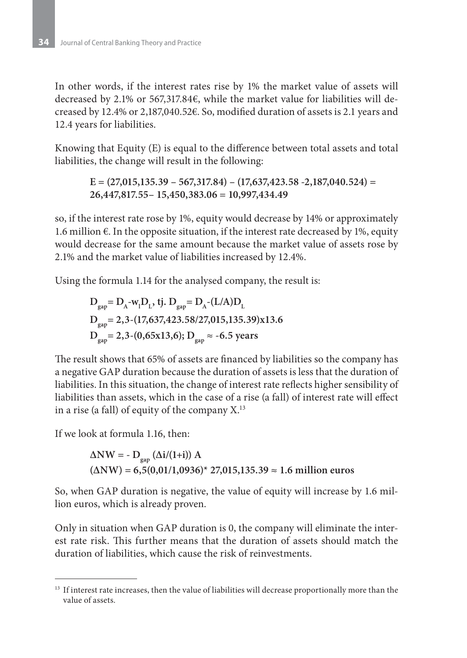In other words, if the interest rates rise by 1% the market value of assets will decreased by 2.1% or 567,317.84€, while the market value for liabilities will decreased by 12.4% or 2,187,040.52€. So, modified duration of assets is 2.1 years and 12.4 years for liabilities.

Knowing that Equity (E) is equal to the difference between total assets and total liabilities, the change will result in the following:

**E = (27,015,135.39 – 567,317.84) – (17,637,423.58 -2,187,040.524) = 26,447,817.55– 15,450,383.06 = 10,997,434.49**

so, if the interest rate rose by 1%, equity would decrease by 14% or approximately 1.6 million  $€.$  In the opposite situation, if the interest rate decreased by 1%, equity would decrease for the same amount because the market value of assets rose by 2.1% and the market value of liabilities increased by 12.4%.

Using the formula 1.14 for the analysed company, the result is:

$$
D_{\text{gap}} = D_{A} - w_{1}D_{L}, \text{ tj. } D_{\text{gap}} = D_{A} - (L/A)D_{L}
$$
  
\n
$$
D_{\text{gap}} = 2,3 - (17,637,423.58/27,015,135.39)x13.6
$$
  
\n
$$
D_{\text{gap}} = 2,3 - (0,65x13,6); D_{\text{gap}} \approx -6.5 \text{ years}
$$

The result shows that 65% of assets are financed by liabilities so the company has a negative GAP duration because the duration of assets is less that the duration of liabilities. In this situation, the change of interest rate reflects higher sensibility of liabilities than assets, which in the case of a rise (a fall) of interest rate will effect in a rise (a fall) of equity of the company  $X$ .<sup>13</sup>

If we look at formula 1.16, then:

$$
\Delta NW = -D_{\rm gap} (\Delta i/(1+i)) A
$$
  
( $\Delta NW$ ) = 6,5(0,01/1,0936)\* 27,015,135.39  $\approx$  1.6 million euros

So, when GAP duration is negative, the value of equity will increase by 1.6 million euros, which is already proven.

Only in situation when GAP duration is 0, the company will eliminate the interest rate risk. This further means that the duration of assets should match the duration of liabilities, which cause the risk of reinvestments.

<sup>&</sup>lt;sup>13</sup> If interest rate increases, then the value of liabilities will decrease proportionally more than the value of assets.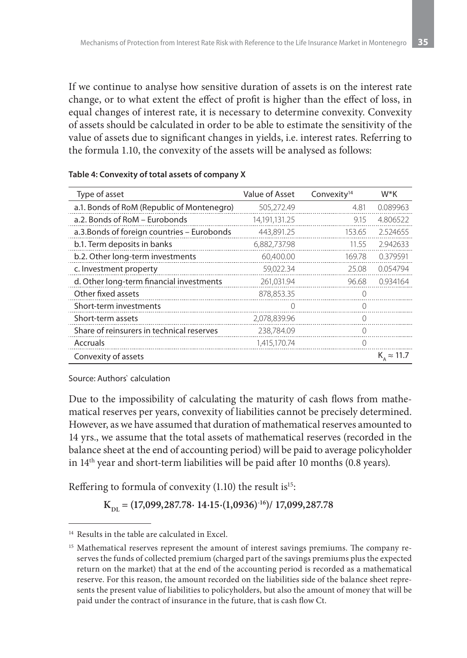If we continue to analyse how sensitive duration of assets is on the interest rate change, or to what extent the effect of profit is higher than the effect of loss, in equal changes of interest rate, it is necessary to determine convexity. Convexity of assets should be calculated in order to be able to estimate the sensitivity of the value of assets due to significant changes in yields, i.e. interest rates. Referring to the formula 1.10, the convexity of the assets will be analysed as follows:

| Type of asset                               | Value of Asset | Convexity <sup>14</sup> | W*K                                     |
|---------------------------------------------|----------------|-------------------------|-----------------------------------------|
| a.1. Bonds of RoM (Republic of Montenegro)  | 505,272.49     | 4.81                    | 0.089963                                |
| a.2. Bonds of RoM - Eurobonds               | 14,191,131.25  | 9.15                    | 4.806522                                |
| a.3. Bonds of foreign countries - Eurobonds | 443,891.25     | 153.65                  | 2.524655                                |
| b.1. Term deposits in banks                 | 6,882,737.98   | 11.55                   | 2.942633                                |
| b.2. Other long-term investments            | 60,400.00      | 169.78                  | 0.379591                                |
| c. Investment property                      | 59,022.34      | 25.08                   | 0.054794                                |
| d. Other long-term financial investments    | 261,031.94     | 96.68                   | 0.934164                                |
| Other fixed assets                          | 878,853.35     | $\left( \right)$        |                                         |
| Short-term investments                      |                | 0                       |                                         |
| Short-term assets                           | 2,078,839.96   | $\Omega$                |                                         |
| Share of reinsurers in technical reserves   | 238,784.09     | 0                       |                                         |
| Accruals                                    | 1,415,170.74   | 0                       |                                         |
| Convexity of assets                         |                |                         | $K_{\scriptscriptstyle A} \approx 11.7$ |

#### Table 4: Convexity of total assets of company X

#### Source: Authors` calculation

Due to the impossibility of calculating the maturity of cash flows from mathematical reserves per years, convexity of liabilities cannot be precisely determined. However, as we have assumed that duration of mathematical reserves amounted to 14 yrs., we assume that the total assets of mathematical reserves (recorded in the balance sheet at the end of accounting period) will be paid to average policyholder in 14th year and short-term liabilities will be paid after 10 months (0.8 years).

Reffering to formula of convexity  $(1.10)$  the result is<sup>15</sup>:

$$
K_{\rm DL} = (17,099,287.78 \cdot 14.15 \cdot (1,0936)^{-16}) / 17,099,287.78
$$

<sup>&</sup>lt;sup>14</sup> Results in the table are calculated in Excel.

<sup>&</sup>lt;sup>15</sup> Mathematical reserves represent the amount of interest savings premiums. The company reserves the funds of collected premium (charged part of the savings premiums plus the expected return on the market) that at the end of the accounting period is recorded as a mathematical reserve. For this reason, the amount recorded on the liabilities side of the balance sheet represents the present value of liabilities to policyholders, but also the amount of money that will be paid under the contract of insurance in the future, that is cash flow Ct.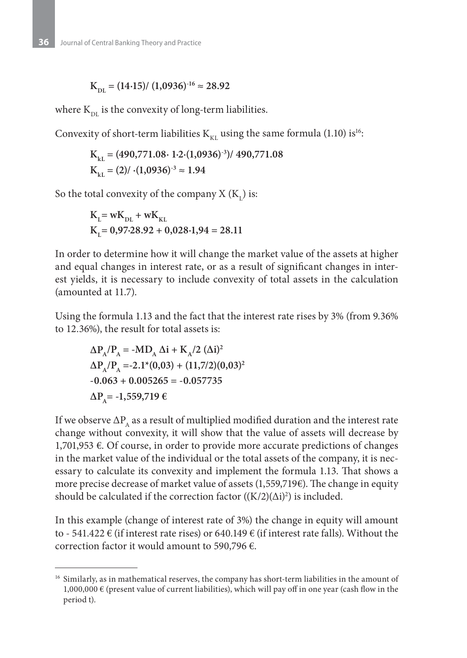$$
\mathrm{K_{DL}}=(14{\cdot}15)/~(1{,}0936)^{\cdot 16}\approx 28{,}92
$$

where  $K_{\text{DL}}$  is the convexity of long-term liabilities.

Convexity of short-term liabilities  $K_{\kappa}$  using the same formula (1.10) is<sup>16</sup>:

$$
K_{_{kL}} = (490,771.08 \cdot 1 \cdot 2 \cdot (1,0936)^{-3}) / 490,771.08
$$
  

$$
K_{_{kL}} = (2) / \cdot (1,0936)^{-3} \approx 1.94
$$

So the total convexity of the company X  $(K_L)$  is:

$$
\begin{aligned} & K_{L}\mathrm{=w}K_{\mathrm{DL}}+wK_{\mathrm{KL}} \\ & K_{L}\mathrm{=0,97{\cdot}28.92+0,028{\cdot}1,94=28.11} \end{aligned}
$$

In order to determine how it will change the market value of the assets at higher and equal changes in interest rate, or as a result of significant changes in interest yields, it is necessary to include convexity of total assets in the calculation (amounted at 11.7).

Using the formula 1.13 and the fact that the interest rate rises by 3% (from 9.36% to 12.36%), the result for total assets is:

$$
\Delta P_{A}/P_{A} = -MD_{A} \Delta i + K_{A}/2 \ (\Delta i)^{2}
$$
  
\n
$$
\Delta P_{A}/P_{A} = -2.1^{+}(0.03) + (11.7/2)(0.03)^{2}
$$
  
\n-0.063 + 0.005265 = -0.057735  
\n
$$
\Delta P_{A} = -1.559,719 \ \epsilon
$$

If we observe  $\Delta P$ <sub>A</sub> as a result of multiplied modified duration and the interest rate change without convexity, it will show that the value of assets will decrease by 1,701,953 €. Of course, in order to provide more accurate predictions of changes in the market value of the individual or the total assets of the company, it is necessary to calculate its convexity and implement the formula 1.13. That shows a more precise decrease of market value of assets (1,559,719€). The change in equity should be calculated if the correction factor  $((K/2)(\Delta i)^2)$  is included.

In this example (change of interest rate of 3%) the change in equity will amount to - 541.422  $\epsilon$  (if interest rate rises) or 640.149  $\epsilon$  (if interest rate falls). Without the correction factor it would amount to 590,796 €.

<sup>&</sup>lt;sup>16</sup> Similarly, as in mathematical reserves, the company has short-term liabilities in the amount of 1,000,000  $\in$  (present value of current liabilities), which will pay off in one year (cash flow in the period t).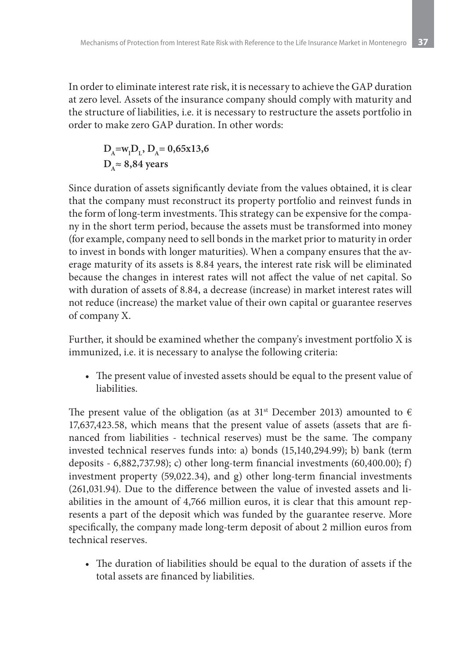In order to eliminate interest rate risk, it is necessary to achieve the GAP duration at zero level. Assets of the insurance company should comply with maturity and the structure of liabilities, i.e. it is necessary to restructure the assets portfolio in order to make zero GAP duration. In other words:

$$
D_A = w_1 D_L
$$
,  $D_A = 0.65x13.6$   
 $D_A \approx 8.84$  years

Since duration of assets significantly deviate from the values obtained, it is clear that the company must reconstruct its property portfolio and reinvest funds in the form of long-term investments. This strategy can be expensive for the company in the short term period, because the assets must be transformed into money (for example, company need to sell bonds in the market prior to maturity in order to invest in bonds with longer maturities). When a company ensures that the average maturity of its assets is 8.84 years, the interest rate risk will be eliminated because the changes in interest rates will not affect the value of net capital. So with duration of assets of 8.84, a decrease (increase) in market interest rates will not reduce (increase) the market value of their own capital or guarantee reserves of company X.

Further, it should be examined whether the company's investment portfolio X is immunized, i.e. it is necessary to analyse the following criteria:

• The present value of invested assets should be equal to the present value of liabilities.

The present value of the obligation (as at 31<sup>st</sup> December 2013) amounted to  $\epsilon$ 17,637,423.58, which means that the present value of assets (assets that are financed from liabilities - technical reserves) must be the same. The company invested technical reserves funds into: a) bonds (15,140,294.99); b) bank (term deposits - 6,882,737.98); c) other long-term financial investments (60,400.00); f) investment property (59,022.34), and g) other long-term financial investments (261,031.94). Due to the difference between the value of invested assets and liabilities in the amount of 4,766 million euros, it is clear that this amount represents a part of the deposit which was funded by the guarantee reserve. More specifically, the company made long-term deposit of about 2 million euros from technical reserves.

• The duration of liabilities should be equal to the duration of assets if the total assets are financed by liabilities.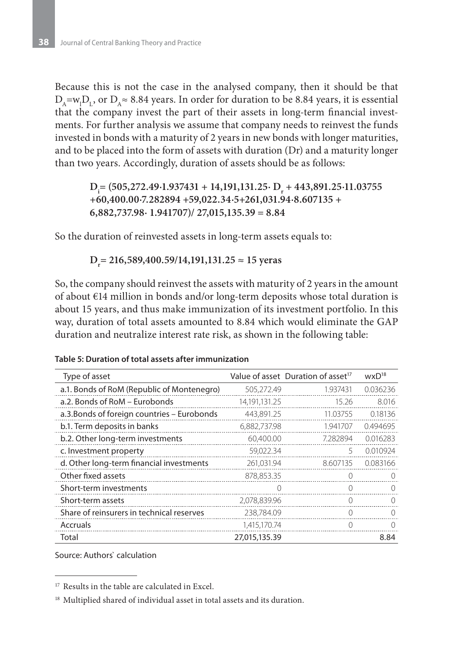Because this is not the case in the analysed company, then it should be that  $D_A = w_1 D_L$ , or  $D_A \approx 8.84$  years. In order for duration to be 8.84 years, it is essential that the company invest the part of their assets in long-term financial investments. For further analysis we assume that company needs to reinvest the funds invested in bonds with a maturity of 2 years in new bonds with longer maturities, and to be placed into the form of assets with duration (Dr) and a maturity longer than two years. Accordingly, duration of assets should be as follows:

#### **Di = (505,272.49∙1.937431 + 14,191,131.25∙ Dr + 443,891.25∙11.03755 +60,400.00∙7.282894 +59,022.34∙5+261,031.94∙8.607135 + 6,882,737.98∙ 1.941707)/ 27,015,135.39 = 8.84**

So the duration of reinvested assets in long-term assets equals to:

**Dr = 216,589,400.59/14,191,131.25 ≈ 15 yeras**

So, the company should reinvest the assets with maturity of 2 years in the amount of about €14 million in bonds and/or long-term deposits whose total duration is about 15 years, and thus make immunization of its investment portfolio. In this way, duration of total assets amounted to 8.84 which would eliminate the GAP duration and neutralize interest rate risk, as shown in the following table:

| Type of asset                               |               | Value of asset Duration of asset <sup>17</sup> | $W \times D^{18}$ |
|---------------------------------------------|---------------|------------------------------------------------|-------------------|
| a.1. Bonds of RoM (Republic of Montenegro)  | 505,272.49    | 1.937431                                       | 0.036236          |
| a.2. Bonds of RoM - Eurobonds               | 14,191,131.25 | 15.26                                          | 8.016             |
| a.3. Bonds of foreign countries – Eurobonds | 443,891.25    | 11.03755                                       | 0.18136           |
| b.1. Term deposits in banks                 | 6,882,737.98  | 1.941707                                       | 0.494695          |
| b.2. Other long-term investments            | 60,400.00     | 7.282894                                       | 0.016283          |
| c. Investment property                      | 59,022.34     | 5                                              | 0.010924          |
| d. Other long-term financial investments    | 261,031.94    | 8.607135                                       | 0.083166          |
| Other fixed assets                          | 878.853.35    | ∩                                              |                   |
| Short-term investments                      |               |                                                |                   |
| Short-term assets                           | 2,078,839.96  |                                                |                   |
| Share of reinsurers in technical reserves   | 238,784.09    | 0                                              | $\bigcap$         |
| Accruals                                    | 1,415,170.74  | O                                              | Ω                 |
| Total                                       | 27,015,135.39 |                                                | 8.84              |

#### Table 5: Duration of total assets after immunization

Source: Authors` calculation

<sup>&</sup>lt;sup>17</sup> Results in the table are calculated in Excel.

<sup>&</sup>lt;sup>18</sup> Multiplied shared of individual asset in total assets and its duration.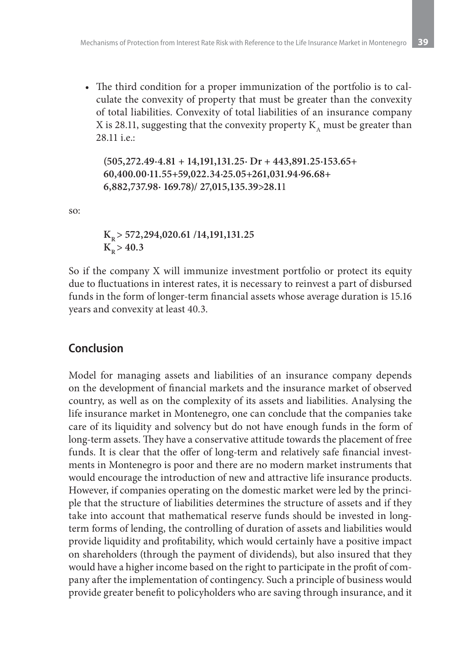• The third condition for a proper immunization of the portfolio is to calculate the convexity of property that must be greater than the convexity of total liabilities. Convexity of total liabilities of an insurance company X is 28.11, suggesting that the convexity property  $K_{\alpha}$  must be greater than 28.11 i.e.:

**(505,272.49∙4.81 + 14,191,131.25∙ Dr + 443,891.25∙153.65+ 60,400.00∙11.55+59,022.34∙25.05+261,031.94∙96.68+ 6,882,737.98∙ 169.78)/ 27,015,135.39>28.1**1

so:

**KR > 572,294,020.61 /14,191,131.25**  $K_p > 40.3$ 

So if the company X will immunize investment portfolio or protect its equity due to fluctuations in interest rates, it is necessary to reinvest a part of disbursed funds in the form of longer-term financial assets whose average duration is 15.16 years and convexity at least 40.3.

## **Conclusion**

Model for managing assets and liabilities of an insurance company depends on the development of financial markets and the insurance market of observed country, as well as on the complexity of its assets and liabilities. Analysing the life insurance market in Montenegro, one can conclude that the companies take care of its liquidity and solvency but do not have enough funds in the form of long-term assets. They have a conservative attitude towards the placement of free funds. It is clear that the offer of long-term and relatively safe financial investments in Montenegro is poor and there are no modern market instruments that would encourage the introduction of new and attractive life insurance products. However, if companies operating on the domestic market were led by the principle that the structure of liabilities determines the structure of assets and if they take into account that mathematical reserve funds should be invested in longterm forms of lending, the controlling of duration of assets and liabilities would provide liquidity and profitability, which would certainly have a positive impact on shareholders (through the payment of dividends), but also insured that they would have a higher income based on the right to participate in the profit of company after the implementation of contingency. Such a principle of business would provide greater benefit to policyholders who are saving through insurance, and it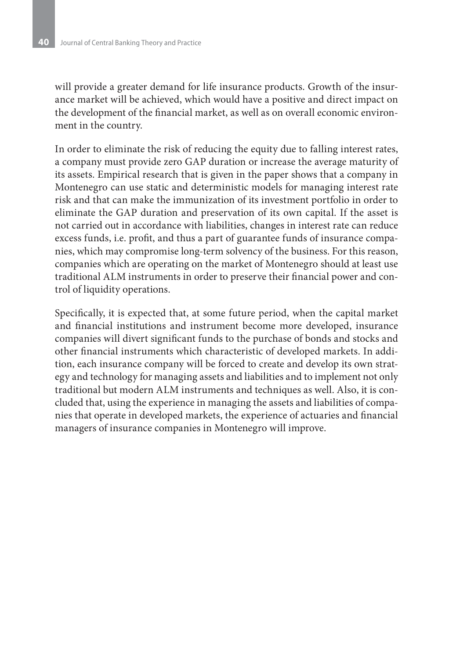will provide a greater demand for life insurance products. Growth of the insurance market will be achieved, which would have a positive and direct impact on the development of the financial market, as well as on overall economic environment in the country.

In order to eliminate the risk of reducing the equity due to falling interest rates, a company must provide zero GAP duration or increase the average maturity of its assets. Empirical research that is given in the paper shows that a company in Montenegro can use static and deterministic models for managing interest rate risk and that can make the immunization of its investment portfolio in order to eliminate the GAP duration and preservation of its own capital. If the asset is not carried out in accordance with liabilities, changes in interest rate can reduce excess funds, i.e. profit, and thus a part of guarantee funds of insurance companies, which may compromise long-term solvency of the business. For this reason, companies which are operating on the market of Montenegro should at least use traditional ALM instruments in order to preserve their financial power and control of liquidity operations.

Specifically, it is expected that, at some future period, when the capital market and financial institutions and instrument become more developed, insurance companies will divert significant funds to the purchase of bonds and stocks and other financial instruments which characteristic of developed markets. In addition, each insurance company will be forced to create and develop its own strategy and technology for managing assets and liabilities and to implement not only traditional but modern ALM instruments and techniques as well. Also, it is concluded that, using the experience in managing the assets and liabilities of companies that operate in developed markets, the experience of actuaries and financial managers of insurance companies in Montenegro will improve.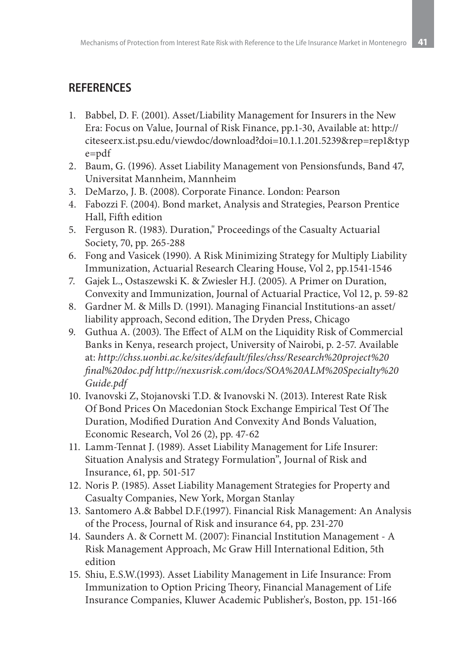# **REFERENCES**

- 1. Babbel, D. F. (2001). Asset/Liability Management for Insurers in the New Era: Focus on Value, Journal of Risk Finance, pp.1-30, Available at: http:// citeseerx.ist.psu.edu/viewdoc/download?doi=10.1.1.201.5239&rep=rep1&typ e=pdf
- 2. Baum, G. (1996). Asset Liability Management von Pensionsfunds, Band 47, Universitat Mannheim, Mannheim
- 3. DeMarzo, J. B. (2008). Corporate Finance. London: Pearson
- 4. Fabozzi F. (2004). Bond market, Analysis and Strategies, Pearson Prentice Hall, Fifth edition
- 5. Ferguson R. (1983). Duration," Proceedings of the Casualty Actuarial Society, 70, pp. 265-288
- 6. Fong and Vasicek (1990). A Risk Minimizing Strategy for Multiply Liability Immunization, Actuarial Research Clearing House, Vol 2, pp.1541-1546
- 7. Gajek L., Ostaszewski K. & Zwiesler H.J. (2005). A Primer on Duration, Convexity and Immunization, Journal of Actuarial Practice, Vol 12, p. 59-82
- 8. Gardner M. & Mills D. (1991). Managing Financial Institutions-an asset/ liability approach, Second edition, The Dryden Press, Chicago
- 9. Guthua A. (2003). The Effect of ALM on the Liquidity Risk of Commercial Banks in Kenya, research project, University of Nairobi, p. 2-57. Available at: *http://chss.uonbi.ac.ke/sites/default/files/chss/Research%20project%20 final%20doc.pdf http://nexusrisk.com/docs/SOA%20ALM%20Specialty%20 Guide.pdf*
- 10. Ivanovski Z, Stojanovski T.D. & Ivanovski N. (2013). Interest Rate Risk Of Bond Prices On Macedonian Stock Exchange Empirical Test Of The Duration, Modified Duration And Convexity And Bonds Valuation, Economic Research, Vol 26 (2), pp. 47-62
- 11. Lamm-Tennat J. (1989). Asset Liability Management for Life Insurer: Situation Analysis and Strategy Formulation", Journal of Risk and Insurance, 61, pp. 501-517
- 12. Noris P. (1985). Asset Liability Management Strategies for Property and Casualty Companies, New York, Morgan Stanlay
- 13. Santomero A.& Babbel D.F.(1997). Financial Risk Management: An Analysis of the Process, Journal of Risk and insurance 64, pp. 231-270
- 14. Saunders A. & Cornett M. (2007): Financial Institution Management A Risk Management Approach, Mc Graw Hill International Edition, 5th edition
- 15. Shiu, E.S.W.(1993). Asset Liability Management in Life Insurance: From Immunization to Option Pricing Theory, Financial Management of Life Insurance Companies, Kluwer Academic Publisher's, Boston, pp. 151-166